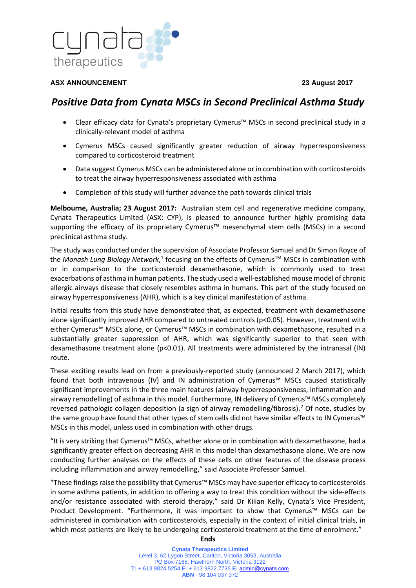

## **ASX ANNOUNCEMENT 23 August 2017**

# *Positive Data from Cynata MSCs in Second Preclinical Asthma Study*

- Clear efficacy data for Cynata's proprietary Cymerus™ MSCs in second preclinical study in a clinically-relevant model of asthma
- Cymerus MSCs caused significantly greater reduction of airway hyperresponsiveness compared to corticosteroid treatment
- Data suggest Cymerus MSCs can be administered alone or in combination with corticosteroids to treat the airway hyperresponsiveness associated with asthma
- Completion of this study will further advance the path towards clinical trials

**Melbourne, Australia; 23 August 2017:** Australian stem cell and regenerative medicine company, Cynata Therapeutics Limited (ASX: CYP), is pleased to announce further highly promising data supporting the efficacy of its proprietary Cymerus™ mesenchymal stem cells (MSCs) in a second preclinical asthma study.

The study was conducted under the supervision of Associate Professor Samuel and Dr Simon Royce of the *Monash Lung Biology Network*,<sup>[1](#page-1-0)</sup> focusing on the effects of Cymerus<sup>™</sup> MSCs in combination with or in comparison to the corticosteroid dexamethasone, which is commonly used to treat exacerbations of asthma in human patients. The study used a well-established mouse model of chronic allergic airways disease that closely resembles asthma in humans. This part of the study focused on airway hyperresponsiveness (AHR), which is a key clinical manifestation of asthma.

Initial results from this study have demonstrated that, as expected, treatment with dexamethasone alone significantly improved AHR compared to untreated controls (p<0.05). However, treatment with either Cymerus<sup>™</sup> MSCs alone, or Cymerus™ MSCs in combination with dexamethasone, resulted in a substantially greater suppression of AHR, which was significantly superior to that seen with dexamethasone treatment alone (p<0.01). All treatments were administered by the intranasal (IN) route.

These exciting results lead on from a previously-reported study (announced 2 March 2017), which found that both intravenous (IV) and IN administration of Cymerus™ MSCs caused statistically significant improvements in the three main features (airway hyperresponsiveness, inflammation and airway remodelling) of asthma in this model. Furthermore, IN delivery of Cymerus™ MSCs completely reversed pathologic collagen deposition (a sign of airway remodelling/fibrosis).[2](#page-1-1) Of note, studies by the same group have found that other types of stem cells did not have similar effects to IN Cymerus™ MSCs in this model, unless used in combination with other drugs.

"It is very striking that Cymerus™ MSCs, whether alone or in combination with dexamethasone, had a significantly greater effect on decreasing AHR in this model than dexamethasone alone. We are now conducting further analyses on the effects of these cells on other features of the disease process including inflammation and airway remodelling," said Associate Professor Samuel.

"These findings raise the possibility that Cymerus™ MSCs may have superior efficacy to corticosteroids in some asthma patients, in addition to offering a way to treat this condition without the side-effects and/or resistance associated with steroid therapy," said Dr Kilian Kelly, Cynata's Vice President, Product Development. "Furthermore, it was important to show that Cymerus™ MSCs can be administered in combination with corticosteroids, especially in the context of initial clinical trials, in which most patients are likely to be undergoing corticosteroid treatment at the time of enrolment."

## **Ends**

**Cynata Therapeutics Limited**  Level 3, 62 Lygon Street, Carlton, Victoria 3053, Australia PO Box 7165, Hawthorn North, Victoria 3122 **T:** + 613 9824 5254 **F:** + 613 9822 7735 **E:** [admin@cynata.com](mailto:admin@ecoquest.com.au) **ABN** - 98 104 037 372